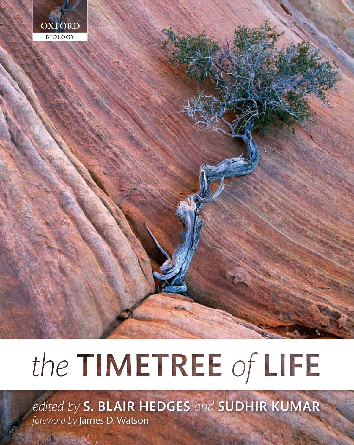

# the TIMETREE of LIFE

edited by S. BLAIR HEDGES and SUDHIR KUMAR foreword by James D. Watson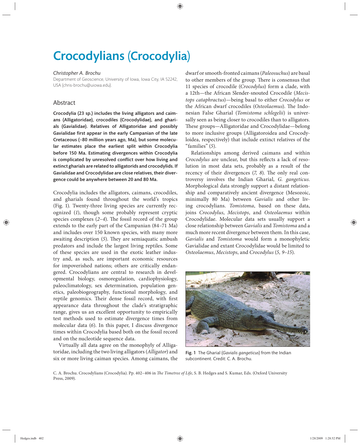# Crocodylians (Crocodylia)

### *Christopher A. Brochu*

Department of Geoscience, University of Iowa, Iowa City, IA 52242, USA (chris-brochu@uiowa.edu).

# Abstract

Crocodylia (23 sp.) includes the living alligators and caimans (Alligatoridae), crocodiles (Crocodylidae), and gharials (Gavialidae). Relatives of Alligatoridae and possibly Gavialidae first appear in the early Campanian of the late Cretaceous (~80 million years ago, Ma), but some molecular estimates place the earliest split within Crocodylia before 150 Ma. Estimating divergences within Crocodylia is complicated by unresolved conflict over how living and extinct gharials are related to alligatorids and crocodylids. If Gavialidae and Crocodylidae are close relatives, their divergence could be anywhere between 20 and 80 Ma.

Crocodylia includes the alligators, caimans, crocodiles, and gharials found throughout the world's tropics (Fig. 1). Twenty-three living species are currently recognized (1), though some probably represent cryptic species complexes  $(2-4)$ . The fossil record of the group extends to the early part of the Campanian (84–71 Ma) and includes over 150 known species, with many more awaiting description (5). They are semiaquatic ambush predators and include the largest living reptiles. Some of these species are used in the exotic leather industry and, as such, are important economic resources for impoverished nations; others are critically endangered. Crocodylians are central to research in developmental biology, osmoregulation, cardiophysiology, paleoclimatology, sex determination, population genetics, paleobiogeography, functional morphology, and reptile genomics. Their dense fossil record, with first appearance data throughout the clade's stratigraphic range, gives us an excellent opportunity to empirically test methods used to estimate divergence times from molecular data (*6*). In this paper, I discuss divergence times within Crocodylia based both on the fossil record and on the nucleotide sequence data.

Virtually all data agree on the monophyly of Alligatoridae, including the two living alligators (*Alligator*) and six or more living caiman species. Among caimans, the dwarf or smooth-fronted caimans (*Paleosuchus*) are basal to other members of the group. There is consensus that 11 species of crocodile (*Crocodylus*) form a clade, with a 12th—the African Slender-snouted Crocodile (*Mecistops cataphractus*)—being basal to either *Crocodylus* or the African dwarf crocodiles (Osteolaemus). The Indonesian False Gharial (*Tomistoma schlegelii*) is universally seen as being closer to crocodiles than to alligators. These groups—Alligatoridae and Crocodylidae—belong to more inclusive groups (Alligatoroidea and Crocodyloidea, respectively) that include extinct relatives of the "families" (*5*).

Relationships among derived caimans and within *Crocodylus* are unclear, but this reflects a lack of resolution in most data sets, probably as a result of the recency of their divergences (7, 8). The only real controversy involves the Indian Gharial, *G. gangeticus*. Morphological data strongly support a distant relationship and comparatively ancient divergence (Mesozoic, minimally 80 Ma) between *Gavialis* and other living crocodylians. *Tomistoma*, based on these data, joins *Crocodylus*, *Mecistops*, and *Osteolaemus* within Crocodylidae. Molecular data sets usually support a close relationship between *Gavialis* and *Tomistoma* and a much more recent divergence between them. In this case, *Gavialis* and *Tomistoma* would form a monophyletic Gavialidae and extant Crocodylidae would be limited to *Osteolaemus*, *Mecistops*, and *Crocodylus* (*5, 9–15*).



Fig. 1 The Gharial (*Gavialis gangeticus*) from the Indian subcontinent. Credit: C. A. Brochu.

C. A. Brochu. Crocodylians (Crocodylia). Pp. 402-406 in *The Timetree of Life*, S. B. Hedges and S. Kumar, Eds. (Oxford University Press, 2009).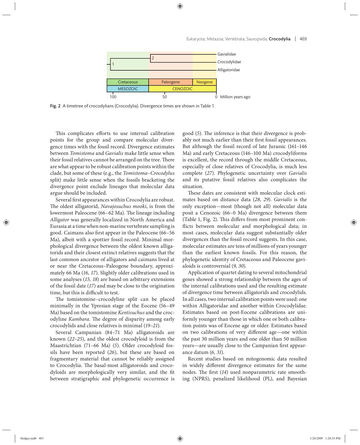

Fig. 2 A timetree of crocodylians (Crocodylia). Divergence times are shown in Table 1.

This complicates efforts to use internal calibration points for the group and compare molecular divergence times with the fossil record. Divergence estimates between *Tomistoma* and *Gavialis* make little sense when their fossil relatives cannot be arranged on the tree. There are what appear to be robust calibration points within the clade, but some of these (e.g., the *Tomistoma*–*Crocodylus* split) make little sense when the fossils bracketing the divergence point exclude lineages that molecular data argue should be included.

Several first appearances within Crocodylia are robust. The oldest alligatorid, *Navajosuchus mooki*, is from the lowermost Paleocene (66–62 Ma). The lineage including *Alligator* was generally localized in North America and Eurasia at a time when non-marine vertebrate sampling is good. Caimans also first appear in the Paleocene (66-56 Ma), albeit with a spottier fossil record. Minimal morphological divergence between the oldest known alligatorids and their closest extinct relatives suggests that the last common ancestor of alligators and caimans lived at or near the Cretaceous–Paleogene boundary, approximately 66 Ma (*16, 17*). Slightly older calibrations used in some analyses (*15, 18*) are based on arbitrary extensions of the fossil date (*17*) and may be close to the origination time, but this is difficult to test.

The tomistomine-crocodyline split can be placed minimally in the Ypresian stage of the Eocene (56–49 Ma) based on the tomistomine *Kentisuchus* and the crocodyline *Kambara*. The degree of disparity among early crocodylids and close relatives is minimal (*19–21*).

Several Campanian (84–71 Ma) alligatoroids are known (*22–25*), and the oldest crocodyloid is from the Maastrichtian (71–66 Ma) (*5*). Older crocodyloid fossils have been reported (*26*), but these are based on fragmentary material that cannot be reliably assigned to Crocodylia. The basal-most alligatoroids and crocodyloids are morphologically very similar, and the fit between stratigraphic and phylogenetic occurrence is good (5). The inference is that their divergence is probably not much earlier than their first fossil appearances. But although the fossil record of late Jurassic (161-146 Ma) and early Cretaceous (146–100 Ma) crocodyliforms is excellent, the record through the middle Cretaceous, especially of close relatives of Crocodylia, is much less complete (*27*). Phylogenetic uncertainty over *Gavialis* and its putative fossil relatives also complicates the situation.

These dates are consistent with molecular clock estimates based on distance data (*28, 29*). *Gavialis* is the only exception—most (though not all) molecular data posit a Cenozoic (66–0 Ma) divergence between them (Table 1, Fig. 2). This differs from most prominent conflicts between molecular and morphological data; in most cases, molecular data suggest substantially older divergences than the fossil record suggests. In this case, molecular estimates are tens of millions of years younger than the earliest known fossils. For this reason, the phylogenetic identity of Cretaceous and Paleocene gavialoids is controversial (*9, 30*).

Application of quartet dating to several mitochondrial genes showed a strong relationship between the ages of the internal calibrations used and the resulting estimate of divergence time between alligatorids and crocodylids. In all cases, two internal calibration points were used: one within Alligatoridae and another within Crocodylidae. Estimates based on post-Eocene calibrations are uniformly younger than those in which one or both calibration points was of Eocene age or older. Estimates based on two calibrations of very different age-one within the past 30 million years and one older than 50 million years—are usually close to the Campanian first appearance datum (*6, 31*).

Recent studies based on mitogenomic data resulted in widely different divergence estimates for the same nodes. The first (14) used nonparametric rate smoothing (NPRS), penalized likelihood (PL), and Bayesian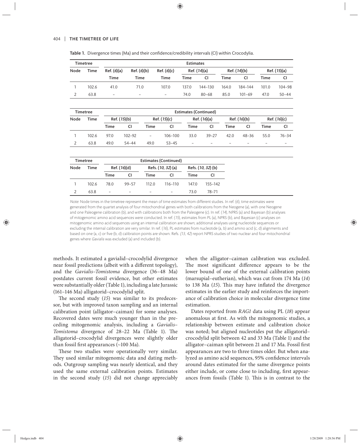| <b>Timetree</b> |                 |                              |             |                   |                          | <b>Estimates</b> |                    |             |              |             |              |  |
|-----------------|-----------------|------------------------------|-------------|-------------------|--------------------------|------------------|--------------------|-------------|--------------|-------------|--------------|--|
| Node            | Time            | Ref. (6)(a)<br>Ref. (6)(b)   |             |                   | Ref. (6)(c)              |                  | Ref. (14)(a)       |             | Ref. (14)(b) |             | Ref. (15)(a) |  |
|                 |                 | Time                         | <b>Time</b> |                   | Time                     | <b>Time</b>      | CI                 | Time        | CI           | <b>Time</b> | CI           |  |
| 1               | 102.6           | 41.0<br>71.0                 |             |                   | 107.0                    | 137.0            | 144-130            | 164.0       | 184-144      | 101.0       | 104-98       |  |
| $\overline{2}$  | 63.8            | $\overline{\phantom{a}}$     |             | $\qquad \qquad -$ | $\overline{\phantom{a}}$ | 74.0             | $80 - 68$          | 85.0        | $101 - 69$   | 47.0        | $50 - 44$    |  |
|                 |                 |                              |             |                   |                          |                  |                    |             |              |             |              |  |
| <b>Timetree</b> |                 | <b>Estimates (Continued)</b> |             |                   |                          |                  |                    |             |              |             |              |  |
| Node            | Time            | Ref. (15)(b)                 |             |                   | Ref. (15)(c)             |                  | Ref. (16)(a)       |             | Ref. (16)(b) |             | Ref. (16)(c) |  |
|                 |                 | <b>Time</b>                  | CI          | <b>Time</b>       | CI                       | <b>Time</b>      | CI                 | <b>Time</b> | CI           | <b>Time</b> | CI           |  |
| 1               | 102.6           | 97.0                         | 102-92      | $\overline{a}$    | 106-100                  | 33.0             | $39 - 27$          | 42.0        | $48 - 36$    | 55.0        | $76 - 34$    |  |
| $\overline{2}$  | 63.8            | 49.0                         | $54 - 44$   | 49.0              | $53 - 45$                | $\overline{a}$   |                    |             |              |             |              |  |
|                 | <b>Timetree</b> |                              |             |                   |                          |                  |                    |             |              |             |              |  |
|                 |                 | <b>Estimates (Continued)</b> |             |                   |                          |                  |                    |             |              |             |              |  |
| Node            | <b>Time</b>     | Ref. (16)(d)                 |             |                   | Refs. (10, 32) (a)       |                  | Refs. (10, 32) (b) |             |              |             |              |  |
|                 |                 | Time                         | CI          | Time              | <b>CI</b>                | <b>Time</b>      | <b>CI</b>          |             |              |             |              |  |
| 1               | 102.6           | 78.0                         | $99 - 57$   | 112.0             | 116-110                  | 147.0            | 155-142            |             |              |             |              |  |
| 2               | 63.8            | $\overline{a}$               |             |                   | -                        | 73.0             | $78 - 71$          |             |              |             |              |  |

Table 1. Divergence times (Ma) and their confidence/credibility intervals (CI) within Crocodylia.

Note: Node times in the timetree represent the mean of time estimates from different studies. In ref. (6), time estimates were generated from the quartet analysis of four mitochondrial genes with both calibrations from the Neogene (a), with one Neogene and one Paleogene calibration (b), and with calibrations both from the Paleogene (c). In ref. (14), NPRS (a) and Bayesian (b) analyses of mitogenomic amino acid sequences were conducted. In ref. (15), estimates from PL (a), NPRS (b), and Bayesian (c) analyses on mitogenomic amino acid sequences using an internal calibration are shown; additional analyses using nucleotide sequences or excluding the internal calibration are very similar. In ref. (16), PL estimates from nucleotide (a, b) and amino acid (c, d) alignments and based on one (a, c) or five (b, d) calibration points are shown. Refs. (13, 42) report NPRS studies of two nuclear and four mitochondrial genes where Gavialis was excluded (a) and included (b).

methods. It estimated a gavialid–crocodylid divergence near fossil predictions (albeit with a different topology), and the *Gavialis–Tomistoma* divergence (36–48 Ma) postdates current fossil evidence, but other estimates were substantially older (Table 1), including a late Jurassic (161–146 Ma) alligatorid–crocodylid split.

The second study (15) was similar to its predecessor, but with improved taxon sampling and an internal calibration point (alligator–caiman) for some analyses. Recovered dates were much younger than in the preceding mitogenomic analysis, including a *Gavialis-Tomistoma* divergence of 28-22 Ma (Table 1). The alligatorid– crocodylid divergences were slightly older than fossil first appearances  $(\sim 100$  Ma).

These two studies were operationally very similar. They used similar mitogenomic data and dating methods. Outgroup sampling was nearly identical, and they used the same external calibration points. Estimates in the second study (15) did not change appreciably when the alligator–caiman calibration was excluded. The most significant difference appears to be the lower bound of one of the external calibration points (marsupial– eutherian), which was cut from 174 Ma (*14*) to 138 Ma (15). This may have inflated the divergence estimates in the earlier study and reinforces the importance of calibration choice in molecular divergence time estimation.

Dates reported from *RAG1* data using PL (*18*) appear anomalous at first. As with the mitogenomic studies, a relationship between estimate and calibration choice was noted; but aligned nucleotides put the alligatorid– crocodylid split between 42 and 33 Ma (Table 1) and the alligator-caiman split between 21 and 17 Ma. Fossil first appearances are two to three times older. But when analyzed as amino acid sequences, 95% confidence intervals around dates estimated for the same divergence points either include, or come close to including, first appearances from fossils (Table 1). This is in contrast to the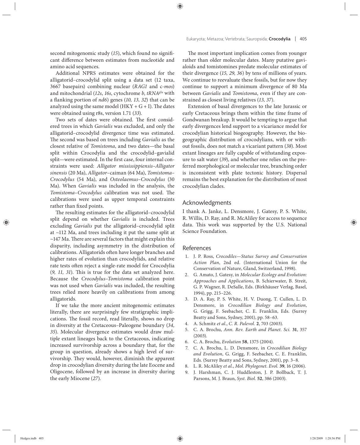second mitogenomic study (15), which found no significant difference between estimates from nucleotide and amino acid sequences.

Additional NPRS estimates were obtained for the alligatorid–crocodylid split using a data set (12 taxa, 3667 basepairs) combining nuclear (*RAG1* and c-*mos*) and mitochondrial (*12s*, *16s*, cytochrome *b*, *tRNAglu* with a flanking portion of *nd6*) genes (10, 13, 32) that can be analyzed using the same model ( $HKY + G + I$ ). The dates were obtained using r8s, version 1.71 (*33*).

Two sets of dates were obtained. The first considered trees in which *Gavialis* was excluded, and only the alligatorid–crocodylid divergence time was estimated. The second was based on trees including *Gavialis* as the closest relative of *Tomistoma*, and two dates—the basal split within Crocodylia and the crocodylid–gavialid split—were estimated. In the first case, four internal constraints were used: *Alligator mississippiensis–Alligator sinensis* (20 Ma), *Alligator–*caiman (64 Ma), *Tomistoma– Crocodylus* (54 Ma), and *Osteolaemus–Crocodylus* (30 Ma). When *Gavialis* was included in the analysis, the *Tomistoma-Crocodylus* calibration was not used. The calibrations were used as upper temporal constraints rather than fixed points.

The resulting estimates for the alligatorid-crocodylid split depend on whether *Gavialis* is included. Trees excluding *Gavialis* put the alligatorid–crocodylid split at ~112 Ma, and trees including it put the same split at  $\sim$ 147 Ma. There are several factors that might explain this disparity, including asymmetry in the distribution of calibrations. Alligatorids often have longer branches and higher rates of evolution than crocodylids, and relative rate tests often reject a single-rate model for Crocodylia (9, 11, 31). This is true for the data set analyzed here. Because the *Crocodylus–Tomistoma* calibration point was not used when *Gavialis* was included, the resulting trees relied more heavily on calibrations from among alligatorids.

If we take the more ancient mitogenomic estimates literally, there are surprisingly few stratigraphic implications. The fossil record, read literally, shows no drop in diversity at the Cretaceous–Paleogene boundary (*34,*  35). Molecular divergence estimates would draw multiple extant lineages back to the Cretaceous, indicating increased survivorship across a boundary that, for the group in question, already shows a high level of survivorship. They would, however, diminish the apparent drop in crocodylian diversity during the late Eocene and Oligocene, followed by an increase in diversity during the early Miocene (*27*).

The most important implication comes from younger rather than older molecular dates. Many putative gavialoids and tomistomines predate molecular estimates of their divergence (*15, 29, 36*) by tens of millions of years. We continue to reevaluate these fossils, but for now they continue to support a minimum divergence of 80 Ma between *Gavialis* and *Tomistoma*, even if they are constrained as closest living relatives (*13, 37*).

Extension of basal divergences to the late Jurassic or early Cretaceous brings them within the time frame of Gondwanan breakup. It would be tempting to argue that early divergences lend support to a vicariance model for crocodylian historical biogeography. However, the biogeographic distribution of crocodylians, with or without fossils, does not match a vicariant pattern (*38*). Most extant lineages are fully capable of withstanding exposure to salt water (*39*), and whether one relies on the preferred morphological or molecular tree, branching order is inconsistent with plate tectonic history. Dispersal remains the best explanation for the distribution of most crocodylian clades.

### Acknowledgments

I thank A. Janke, L. Densmore, J. Gatesy, P. S. White, R. Willis, D. Ray, and R. McAliley for access to sequence data. This work was supported by the U.S. National Science Foundation.

## References

- 1. J. P. Ross, *Crocodiles—Status Survey and Conservation Action Plan*, 2nd ed. (International Union for the Conservation of Nature, Gland, Switzerland, 1998).
- 2. G. Amato, J. Gatesy, in *Molecular Ecology and Evolution: Approaches and Applications*, B. Schierwater, B. Streit, G. P. Wagner, R. DeSalle, Eds. (Birkhäuser Verlag, Basel, 1994), pp. 215–226.
- 3. D. A. Ray, P. S. White, H. V. Duong, T. Cullen, L. D. Densmore, in *Crocodilian Biology and Evolution*, G. Grigg, F. Seebacher, C. E. Franklin, Eds. (Surrey Beatty and Sons, Sydney, 2001), pp. 58–63.
- 4. A. Schmitz *et al.*, *C. R. Palevol.* **2**, 703 (2003).
- 5. C. A. Brochu, *Ann. Rev. Earth and Planet. Sci.* **31**, 357 (2003).
- 6. C. A. Brochu, *Evolution* **58**, 1375 (2004).
- 7. C. A. Brochu, L. D. Densmore, in *Crocodilian Biology and Evolution*, G. Grigg, F. Seebacher, C. E. Franklin, Eds. (Surrey Beatty and Sons, Sydney, 2001), pp. 3–8.
- 8. L. R. McAliley *et al.*, *Mol. Phylogenet. Evol.* **39**, 16 (2006).
- 9. J. Harshman, C. J. Huddleston, J. P. Bollback, T. J. Parsons, M. J. Braun, *Syst. Biol.* **52**, 386 (2003).